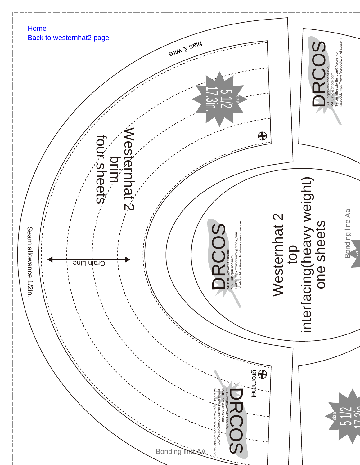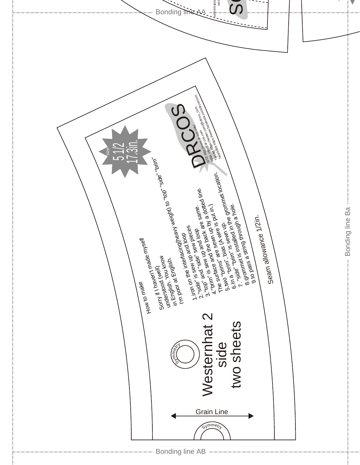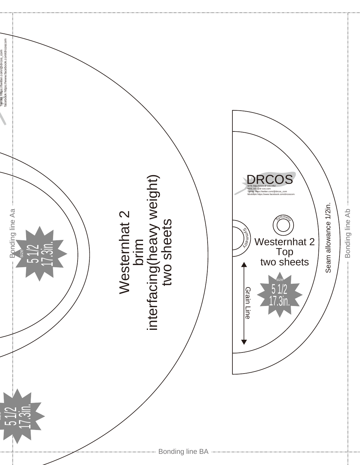